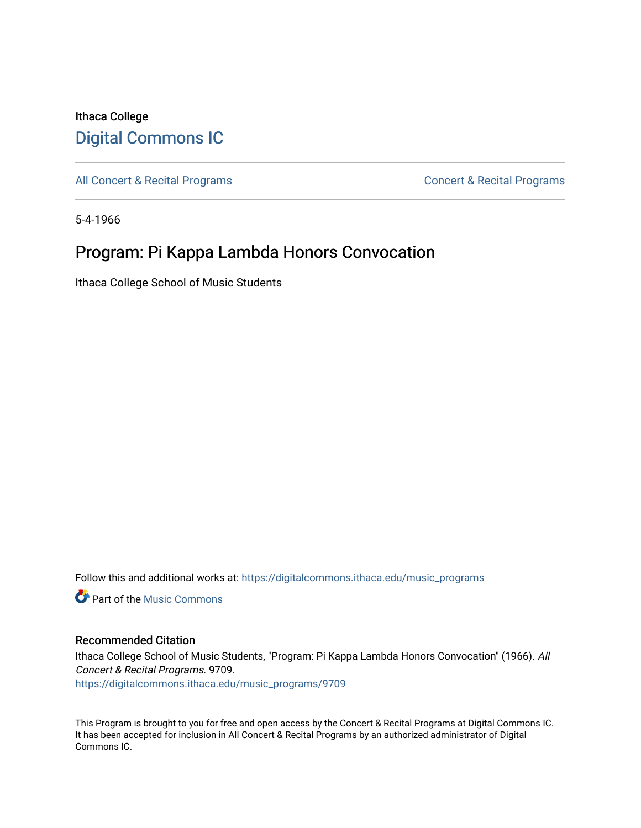## Ithaca College [Digital Commons IC](https://digitalcommons.ithaca.edu/)

[All Concert & Recital Programs](https://digitalcommons.ithaca.edu/music_programs) **Concert & Recital Programs** Concert & Recital Programs

5-4-1966

# Program: Pi Kappa Lambda Honors Convocation

Ithaca College School of Music Students

Follow this and additional works at: [https://digitalcommons.ithaca.edu/music\\_programs](https://digitalcommons.ithaca.edu/music_programs?utm_source=digitalcommons.ithaca.edu%2Fmusic_programs%2F9709&utm_medium=PDF&utm_campaign=PDFCoverPages) 

**Part of the Music Commons** 

### Recommended Citation

Ithaca College School of Music Students, "Program: Pi Kappa Lambda Honors Convocation" (1966). All Concert & Recital Programs. 9709.

[https://digitalcommons.ithaca.edu/music\\_programs/9709](https://digitalcommons.ithaca.edu/music_programs/9709?utm_source=digitalcommons.ithaca.edu%2Fmusic_programs%2F9709&utm_medium=PDF&utm_campaign=PDFCoverPages) 

This Program is brought to you for free and open access by the Concert & Recital Programs at Digital Commons IC. It has been accepted for inclusion in All Concert & Recital Programs by an authorized administrator of Digital Commons IC.